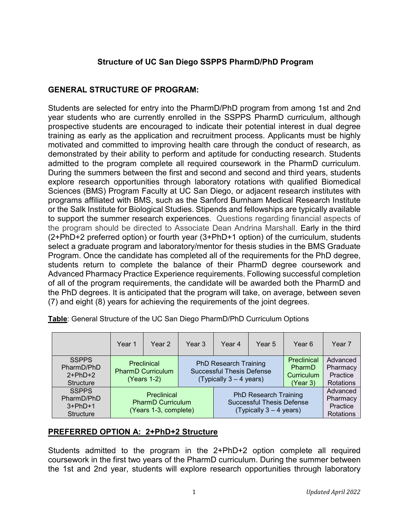# **Structure of UC San Diego SSPPS PharmD/PhD Program**

### **GENERAL STRUCTURE OF PROGRAM:**

Students are selected for entry into the PharmD/PhD program from among 1st and 2nd year students who are currently enrolled in the SSPPS PharmD curriculum, although prospective students are encouraged to indicate their potential interest in dual degree training as early as the application and recruitment process. Applicants must be highly motivated and committed to improving health care through the conduct of research, as demonstrated by their ability to perform and aptitude for conducting research. Students admitted to the program complete all required coursework in the PharmD curriculum. During the summers between the first and second and second and third years, students explore research opportunities through laboratory rotations with qualified Biomedical Sciences (BMS) Program Faculty at UC San Diego, or adjacent research institutes with programs affiliated with BMS, such as the Sanford Burnham Medical Research Institute or the Salk Institute for Biological Studies. Stipends and fellowships are typically available to support the summer research experiences. Questions regarding financial aspects of the program should be directed to Associate Dean Andrina Marshall. Early in the third (2+PhD+2 preferred option) or fourth year (3+PhD+1 option) of the curriculum, students select a graduate program and laboratory/mentor for thesis studies in the BMS Graduate Program. Once the candidate has completed all of the requirements for the PhD degree, students return to complete the balance of their PharmD degree coursework and Advanced Pharmacy Practice Experience requirements. Following successful completion of all of the program requirements, the candidate will be awarded both the PharmD and the PhD degrees. It is anticipated that the program will take, on average, between seven (7) and eight (8) years for achieving the requirements of the joint degrees.

|  |                                                             | Year 1                                                           | Year 2 | Year 3                                                                                      | Year 4 | Year 5                                                                                        | Year 6                                          | Year 7                                        |
|--|-------------------------------------------------------------|------------------------------------------------------------------|--------|---------------------------------------------------------------------------------------------|--------|-----------------------------------------------------------------------------------------------|-------------------------------------------------|-----------------------------------------------|
|  | <b>SSPPS</b><br>PharmD/PhD<br>$2+PhD+2$<br><b>Structure</b> | Preclinical<br><b>PharmD Curriculum</b><br>(Years 1-2)           |        | <b>PhD Research Training</b><br><b>Successful Thesis Defense</b><br>(Typically 3 - 4 years) |        |                                                                                               | Preclinical<br>PharmD<br>Curriculum<br>(Year 3) | Advanced<br>Pharmacy<br>Practice<br>Rotations |
|  | <b>SSPPS</b><br>PharmD/PhD<br>$3+PhD+1$<br><b>Structure</b> | Preclinical<br><b>PharmD Curriculum</b><br>(Years 1-3, complete) |        |                                                                                             |        | <b>PhD Research Training</b><br><b>Successful Thesis Defense</b><br>$(Typically 3 - 4 years)$ | Advanced<br>Pharmacy<br>Practice<br>Rotations   |                                               |

**Table**: General Structure of the UC San Diego PharmD/PhD Curriculum Options

#### **PREFERRED OPTION A: 2+PhD+2 Structure**

Students admitted to the program in the 2+PhD+2 option complete all required coursework in the first two years of the PharmD curriculum. During the summer between the 1st and 2nd year, students will explore research opportunities through laboratory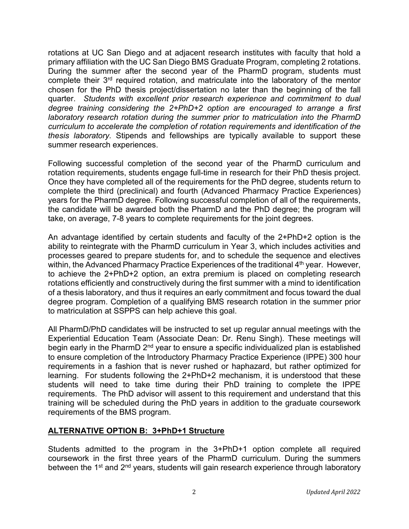rotations at UC San Diego and at adjacent research institutes with faculty that hold a primary affiliation with the UC San Diego BMS Graduate Program, completing 2 rotations. During the summer after the second year of the PharmD program, students must complete their 3rd required rotation, and matriculate into the laboratory of the mentor chosen for the PhD thesis project/dissertation no later than the beginning of the fall quarter. *Students with excellent prior research experience and commitment to dual degree training considering the 2+PhD+2 option are encouraged to arrange a first laboratory research rotation during the summer prior to matriculation into the PharmD curriculum to accelerate the completion of rotation requirements and identification of the thesis laboratory.* Stipends and fellowships are typically available to support these summer research experiences.

Following successful completion of the second year of the PharmD curriculum and rotation requirements, students engage full-time in research for their PhD thesis project. Once they have completed all of the requirements for the PhD degree, students return to complete the third (preclinical) and fourth (Advanced Pharmacy Practice Experiences) years for the PharmD degree. Following successful completion of all of the requirements, the candidate will be awarded both the PharmD and the PhD degree; the program will take, on average, 7-8 years to complete requirements for the joint degrees.

An advantage identified by certain students and faculty of the 2+PhD+2 option is the ability to reintegrate with the PharmD curriculum in Year 3, which includes activities and processes geared to prepare students for, and to schedule the sequence and electives within, the Advanced Pharmacy Practice Experiences of the traditional 4<sup>th</sup> year. However, to achieve the 2+PhD+2 option, an extra premium is placed on completing research rotations efficiently and constructively during the first summer with a mind to identification of a thesis laboratory, and thus it requires an early commitment and focus toward the dual degree program. Completion of a qualifying BMS research rotation in the summer prior to matriculation at SSPPS can help achieve this goal.

All PharmD/PhD candidates will be instructed to set up regular annual meetings with the Experiential Education Team (Associate Dean: Dr. Renu Singh). These meetings will begin early in the PharmD  $2<sup>nd</sup>$  year to ensure a specific individualized plan is established to ensure completion of the Introductory Pharmacy Practice Experience (IPPE) 300 hour requirements in a fashion that is never rushed or haphazard, but rather optimized for learning. For students following the 2+PhD+2 mechanism, it is understood that these students will need to take time during their PhD training to complete the IPPE requirements. The PhD advisor will assent to this requirement and understand that this training will be scheduled during the PhD years in addition to the graduate coursework requirements of the BMS program.

#### **ALTERNATIVE OPTION B: 3+PhD+1 Structure**

Students admitted to the program in the 3+PhD+1 option complete all required coursework in the first three years of the PharmD curriculum. During the summers between the 1<sup>st</sup> and 2<sup>nd</sup> years, students will gain research experience through laboratory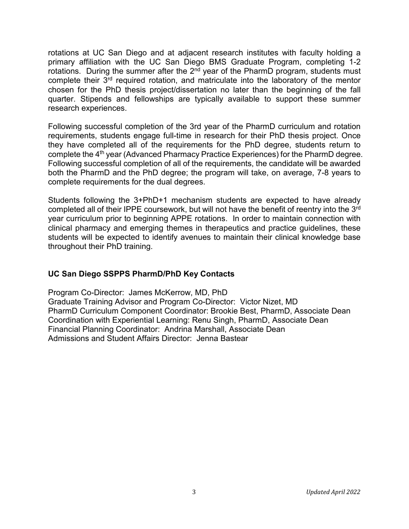rotations at UC San Diego and at adjacent research institutes with faculty holding a primary affiliation with the UC San Diego BMS Graduate Program, completing 1-2 rotations. During the summer after the  $2<sup>nd</sup>$  year of the PharmD program, students must complete their 3rd required rotation, and matriculate into the laboratory of the mentor chosen for the PhD thesis project/dissertation no later than the beginning of the fall quarter. Stipends and fellowships are typically available to support these summer research experiences.

Following successful completion of the 3rd year of the PharmD curriculum and rotation requirements, students engage full-time in research for their PhD thesis project. Once they have completed all of the requirements for the PhD degree, students return to complete the 4<sup>th</sup> year (Advanced Pharmacy Practice Experiences) for the PharmD degree. Following successful completion of all of the requirements, the candidate will be awarded both the PharmD and the PhD degree; the program will take, on average, 7-8 years to complete requirements for the dual degrees.

Students following the 3+PhD+1 mechanism students are expected to have already completed all of their IPPE coursework, but will not have the benefit of reentry into the 3<sup>rd</sup> year curriculum prior to beginning APPE rotations. In order to maintain connection with clinical pharmacy and emerging themes in therapeutics and practice guidelines, these students will be expected to identify avenues to maintain their clinical knowledge base throughout their PhD training.

### **UC San Diego SSPPS PharmD/PhD Key Contacts**

Program Co-Director: James McKerrow, MD, PhD

Graduate Training Advisor and Program Co-Director: Victor Nizet, MD PharmD Curriculum Component Coordinator: Brookie Best, PharmD, Associate Dean Coordination with Experiential Learning: Renu Singh, PharmD, Associate Dean Financial Planning Coordinator: Andrina Marshall, Associate Dean Admissions and Student Affairs Director: Jenna Bastear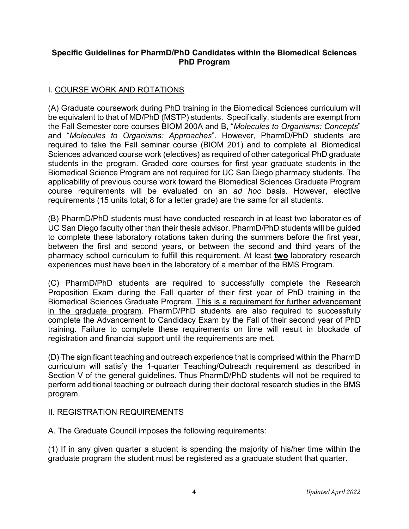#### **Specific Guidelines for PharmD/PhD Candidates within the Biomedical Sciences PhD Program**

## I. COURSE WORK AND ROTATIONS

(A) Graduate coursework during PhD training in the Biomedical Sciences curriculum will be equivalent to that of MD/PhD (MSTP) students. Specifically, students are exempt from the Fall Semester core courses BIOM 200A and B, "*Molecules to Organisms: Concepts*" and "*Molecules to Organisms: Approaches*". However, PharmD/PhD students are required to take the Fall seminar course (BIOM 201) and to complete all Biomedical Sciences advanced course work (electives) as required of other categorical PhD graduate students in the program. Graded core courses for first year graduate students in the Biomedical Science Program are not required for UC San Diego pharmacy students. The applicability of previous course work toward the Biomedical Sciences Graduate Program course requirements will be evaluated on an *ad hoc* basis. However, elective requirements (15 units total; 8 for a letter grade) are the same for all students.

(B) PharmD/PhD students must have conducted research in at least two laboratories of UC San Diego faculty other than their thesis advisor. PharmD/PhD students will be guided to complete these laboratory rotations taken during the summers before the first year, between the first and second years, or between the second and third years of the pharmacy school curriculum to fulfill this requirement. At least **two** laboratory research experiences must have been in the laboratory of a member of the BMS Program.

(C) PharmD/PhD students are required to successfully complete the Research Proposition Exam during the Fall quarter of their first year of PhD training in the Biomedical Sciences Graduate Program. This is a requirement for further advancement in the graduate program. PharmD/PhD students are also required to successfully complete the Advancement to Candidacy Exam by the Fall of their second year of PhD training. Failure to complete these requirements on time will result in blockade of registration and financial support until the requirements are met.

(D) The significant teaching and outreach experience that is comprised within the PharmD curriculum will satisfy the 1-quarter Teaching/Outreach requirement as described in Section V of the general guidelines. Thus PharmD/PhD students will not be required to perform additional teaching or outreach during their doctoral research studies in the BMS program.

#### II. REGISTRATION REQUIREMENTS

A. The Graduate Council imposes the following requirements:

(1) If in any given quarter a student is spending the majority of his/her time within the graduate program the student must be registered as a graduate student that quarter.